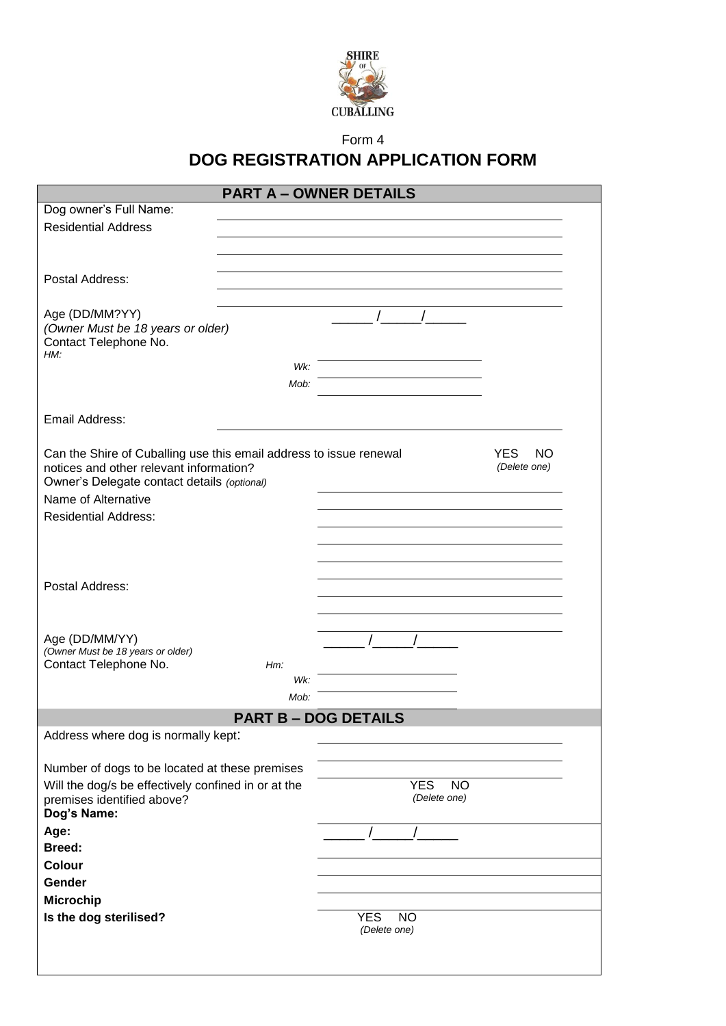

Form 4

## **DOG REGISTRATION APPLICATION FORM**

|                                                                    | <b>PART A - OWNER DETAILS</b> |                             |                  |
|--------------------------------------------------------------------|-------------------------------|-----------------------------|------------------|
| Dog owner's Full Name:                                             |                               |                             |                  |
| <b>Residential Address</b>                                         |                               |                             |                  |
|                                                                    |                               |                             |                  |
|                                                                    |                               |                             |                  |
| Postal Address:                                                    |                               |                             |                  |
|                                                                    |                               |                             |                  |
| Age (DD/MM?YY)                                                     |                               |                             |                  |
| (Owner Must be 18 years or older)                                  |                               |                             |                  |
| Contact Telephone No.                                              |                               |                             |                  |
| HM:                                                                |                               |                             |                  |
|                                                                    | Wk:                           |                             |                  |
|                                                                    | Mob:                          |                             |                  |
|                                                                    |                               |                             |                  |
| Email Address:                                                     |                               |                             |                  |
|                                                                    |                               |                             |                  |
| Can the Shire of Cuballing use this email address to issue renewal |                               |                             | <b>YES</b><br>NO |
| notices and other relevant information?                            |                               |                             | (Delete one)     |
| Owner's Delegate contact details (optional)                        |                               |                             |                  |
| Name of Alternative                                                |                               |                             |                  |
| <b>Residential Address:</b>                                        |                               |                             |                  |
|                                                                    |                               |                             |                  |
|                                                                    |                               |                             |                  |
|                                                                    |                               |                             |                  |
| Postal Address:                                                    |                               |                             |                  |
|                                                                    |                               |                             |                  |
|                                                                    |                               |                             |                  |
| Age (DD/MM/YY)                                                     |                               |                             |                  |
| (Owner Must be 18 years or older)                                  |                               |                             |                  |
| Contact Telephone No.                                              | $Hm$ :                        |                             |                  |
|                                                                    | Wk:                           |                             |                  |
|                                                                    | Mob:                          |                             |                  |
|                                                                    |                               | <b>PART B - DOG DETAILS</b> |                  |
| Address where dog is normally kept:                                |                               |                             |                  |
|                                                                    |                               |                             |                  |
| Number of dogs to be located at these premises                     |                               |                             |                  |
| Will the dog/s be effectively confined in or at the                |                               | <b>YES</b><br><b>NO</b>     |                  |
| premises identified above?                                         |                               | (Delete one)                |                  |
| Dog's Name:                                                        |                               |                             |                  |
| Age:                                                               |                               |                             |                  |
| <b>Breed:</b>                                                      |                               |                             |                  |
| Colour                                                             |                               |                             |                  |
| Gender                                                             |                               |                             |                  |
| <b>Microchip</b>                                                   |                               |                             |                  |
| Is the dog sterilised?                                             |                               | <b>YES</b><br>NO.           |                  |
|                                                                    |                               | (Delete one)                |                  |
|                                                                    |                               |                             |                  |
|                                                                    |                               |                             |                  |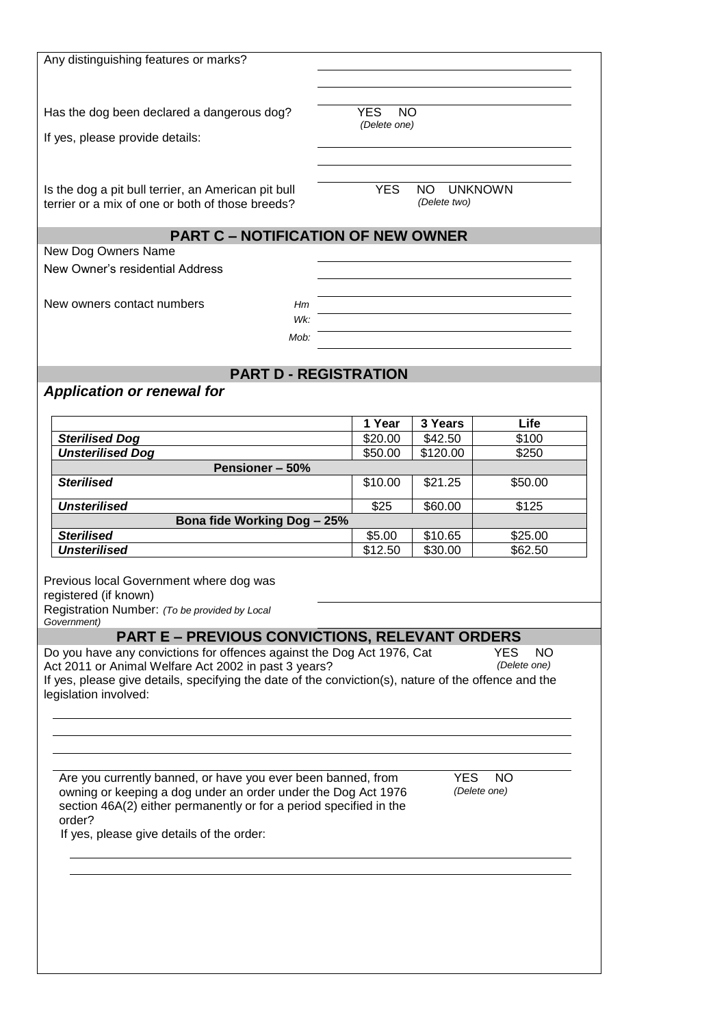| Any distinguishing features or marks?                                                                                                                                                                                                                                                                                    |                  |              |                                         |
|--------------------------------------------------------------------------------------------------------------------------------------------------------------------------------------------------------------------------------------------------------------------------------------------------------------------------|------------------|--------------|-----------------------------------------|
|                                                                                                                                                                                                                                                                                                                          |                  |              |                                         |
| Has the dog been declared a dangerous dog?                                                                                                                                                                                                                                                                               | <b>YES</b><br>NO |              |                                         |
| If yes, please provide details:                                                                                                                                                                                                                                                                                          | (Delete one)     |              |                                         |
|                                                                                                                                                                                                                                                                                                                          |                  |              |                                         |
| Is the dog a pit bull terrier, an American pit bull                                                                                                                                                                                                                                                                      | <b>YES</b>       | NO.          | <b>UNKNOWN</b>                          |
| terrier or a mix of one or both of those breeds?                                                                                                                                                                                                                                                                         |                  | (Delete two) |                                         |
| <b>PART C - NOTIFICATION OF NEW OWNER</b>                                                                                                                                                                                                                                                                                |                  |              |                                         |
| New Dog Owners Name                                                                                                                                                                                                                                                                                                      |                  |              |                                         |
| New Owner's residential Address                                                                                                                                                                                                                                                                                          |                  |              |                                         |
| New owners contact numbers<br>Hm                                                                                                                                                                                                                                                                                         |                  |              |                                         |
| Wk:                                                                                                                                                                                                                                                                                                                      |                  |              |                                         |
| Mob:                                                                                                                                                                                                                                                                                                                     |                  |              |                                         |
| <b>PART D - REGISTRATION</b>                                                                                                                                                                                                                                                                                             |                  |              |                                         |
| <b>Application or renewal for</b>                                                                                                                                                                                                                                                                                        |                  |              |                                         |
|                                                                                                                                                                                                                                                                                                                          | 1 Year           | 3 Years      | Life                                    |
| <b>Sterilised Dog</b>                                                                                                                                                                                                                                                                                                    | \$20.00          | \$42.50      | $\overline{$}100$                       |
| <b>Unsterilised Dog</b>                                                                                                                                                                                                                                                                                                  | \$50.00          | \$120.00     | \$250                                   |
| Pensioner-50%<br><b>Sterilised</b>                                                                                                                                                                                                                                                                                       | \$10.00          |              | \$50.00                                 |
|                                                                                                                                                                                                                                                                                                                          |                  | \$21.25      |                                         |
| <b>Unsterilised</b><br>Bona fide Working Dog - 25%                                                                                                                                                                                                                                                                       | \$25             | \$60.00      | \$125                                   |
| <b>Sterilised</b>                                                                                                                                                                                                                                                                                                        | \$5.00           | \$10.65      | \$25.00                                 |
| <b>Unsterilised</b>                                                                                                                                                                                                                                                                                                      | \$12.50          | \$30.00      | \$62.50                                 |
| Previous local Government where dog was                                                                                                                                                                                                                                                                                  |                  |              |                                         |
| registered (if known)                                                                                                                                                                                                                                                                                                    |                  |              |                                         |
| Registration Number: (To be provided by Local<br>Government)                                                                                                                                                                                                                                                             |                  |              |                                         |
| <b>PART E - PREVIOUS CONVICTIONS, RELEVANT ORDERS</b><br>Do you have any convictions for offences against the Dog Act 1976, Cat<br>Act 2011 or Animal Welfare Act 2002 in past 3 years?<br>If yes, please give details, specifying the date of the conviction(s), nature of the offence and the<br>legislation involved: |                  |              | <b>YES</b><br><b>NO</b><br>(Delete one) |
|                                                                                                                                                                                                                                                                                                                          |                  |              |                                         |
|                                                                                                                                                                                                                                                                                                                          |                  |              |                                         |
|                                                                                                                                                                                                                                                                                                                          |                  |              |                                         |
| Are you currently banned, or have you ever been banned, from<br>owning or keeping a dog under an order under the Dog Act 1976<br>section 46A(2) either permanently or for a period specified in the<br>order?<br>If yes, please give details of the order:                                                               |                  | YES.         | NO.<br>(Delete one)                     |
|                                                                                                                                                                                                                                                                                                                          |                  |              |                                         |
|                                                                                                                                                                                                                                                                                                                          |                  |              |                                         |
|                                                                                                                                                                                                                                                                                                                          |                  |              |                                         |
|                                                                                                                                                                                                                                                                                                                          |                  |              |                                         |
|                                                                                                                                                                                                                                                                                                                          |                  |              |                                         |
|                                                                                                                                                                                                                                                                                                                          |                  |              |                                         |
|                                                                                                                                                                                                                                                                                                                          |                  |              |                                         |